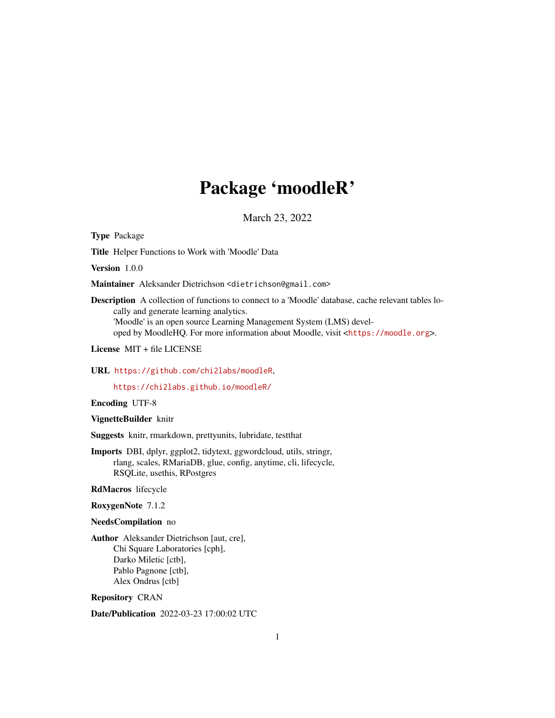# Package 'moodleR'

March 23, 2022

Type Package

Title Helper Functions to Work with 'Moodle' Data

Version 1.0.0

Maintainer Aleksander Dietrichson <dietrichson@gmail.com>

Description A collection of functions to connect to a 'Moodle' database, cache relevant tables locally and generate learning analytics. 'Moodle' is an open source Learning Management System (LMS) developed by MoodleHQ. For more information about Moodle, visit <<https://moodle.org>>.

License MIT + file LICENSE

URL <https://github.com/chi2labs/moodleR>,

<https://chi2labs.github.io/moodleR/>

Encoding UTF-8

VignetteBuilder knitr

Suggests knitr, rmarkdown, prettyunits, lubridate, testthat

Imports DBI, dplyr, ggplot2, tidytext, ggwordcloud, utils, stringr, rlang, scales, RMariaDB, glue, config, anytime, cli, lifecycle, RSQLite, usethis, RPostgres

RdMacros lifecycle

RoxygenNote 7.1.2

NeedsCompilation no

Author Aleksander Dietrichson [aut, cre], Chi Square Laboratories [cph], Darko Miletic [ctb], Pablo Pagnone [ctb], Alex Ondrus [ctb]

Repository CRAN

Date/Publication 2022-03-23 17:00:02 UTC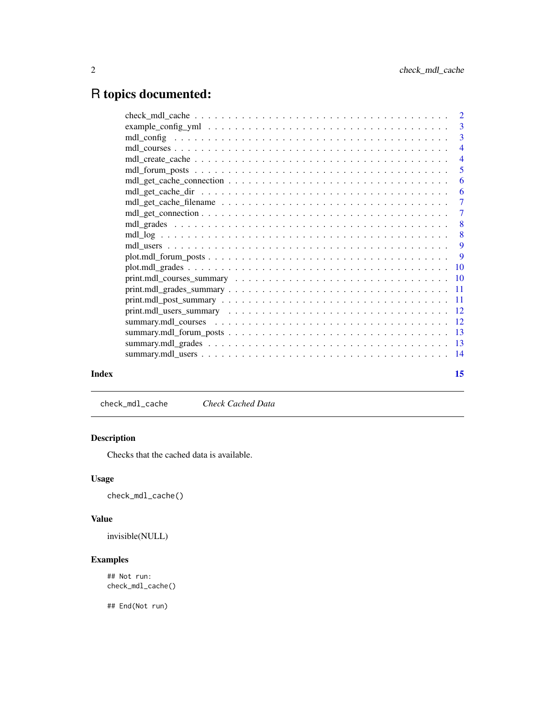# <span id="page-1-0"></span>R topics documented:

|       | $print.mdl_users\_summary \dots \dots \dots \dots \dots \dots \dots \dots \dots \dots \dots \dots \dots \dots \dots \dots \dots \dots$ |    |
|-------|----------------------------------------------------------------------------------------------------------------------------------------|----|
|       |                                                                                                                                        |    |
|       |                                                                                                                                        |    |
|       |                                                                                                                                        |    |
|       |                                                                                                                                        |    |
| Index |                                                                                                                                        | 15 |

check\_mdl\_cache *Check Cached Data*

# Description

Checks that the cached data is available.

# Usage

check\_mdl\_cache()

### Value

invisible(NULL)

# Examples

## Not run: check\_mdl\_cache()

## End(Not run)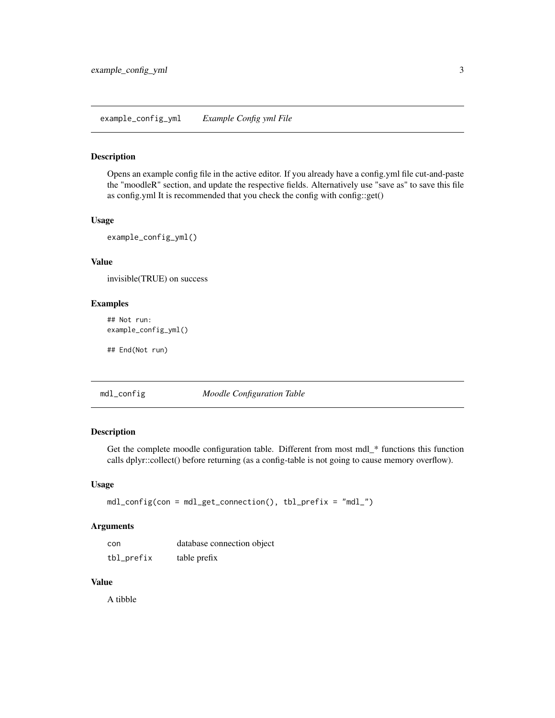#### <span id="page-2-0"></span>Description

Opens an example config file in the active editor. If you already have a config.yml file cut-and-paste the "moodleR" section, and update the respective fields. Alternatively use "save as" to save this file as config.yml It is recommended that you check the config with config::get()

#### Usage

example\_config\_yml()

# Value

invisible(TRUE) on success

# Examples

## Not run: example\_config\_yml()

## End(Not run)

# mdl\_config *Moodle Configuration Table*

#### Description

Get the complete moodle configuration table. Different from most mdl\_\* functions this function calls dplyr::collect() before returning (as a config-table is not going to cause memory overflow).

#### Usage

```
mdl_config(con = mdl_get_connection(), tbl_prefix = "mdl_")
```
#### Arguments

| con        | database connection object |
|------------|----------------------------|
| tbl_prefix | table prefix               |

#### Value

A tibble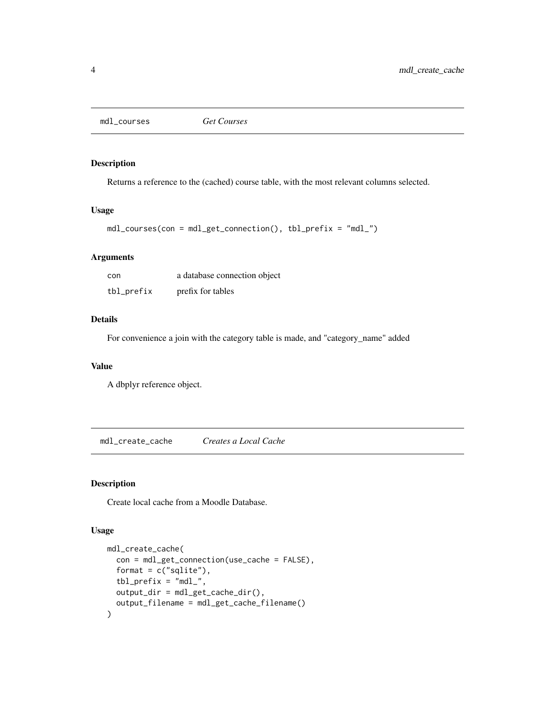<span id="page-3-0"></span>mdl\_courses *Get Courses*

# Description

Returns a reference to the (cached) course table, with the most relevant columns selected.

#### Usage

```
mdl_courses(con = mdl_get_connection(), tbl_prefix = "mdl_")
```
#### Arguments

| con        | a database connection object |
|------------|------------------------------|
| tbl_prefix | prefix for tables            |

# Details

For convenience a join with the category table is made, and "category\_name" added

#### Value

A dbplyr reference object.

mdl\_create\_cache *Creates a Local Cache*

#### Description

Create local cache from a Moodle Database.

#### Usage

```
mdl_create_cache(
  con = mdl_get_connection(use_cache = FALSE),
  format = c("spline"),tbl\_prefix = "mdl__",output_dir = mdl_get_cache_dir(),
  output_filename = mdl_get_cache_filename()
\mathcal{E}
```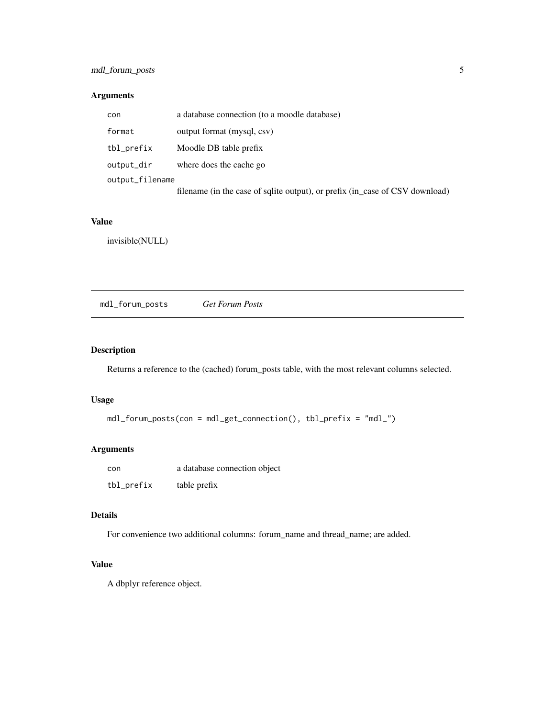# <span id="page-4-0"></span>mdl\_forum\_posts 5

# Arguments

| con             | a database connection (to a moodle database)                                 |
|-----------------|------------------------------------------------------------------------------|
| format          | output format (mysql, csv)                                                   |
| tbl_prefix      | Moodle DB table prefix                                                       |
| output_dir      | where does the cache go                                                      |
| output_filename |                                                                              |
|                 | filename (in the case of sqlite output), or prefix (in_case of CSV download) |

# Value

invisible(NULL)

mdl\_forum\_posts *Get Forum Posts*

# Description

Returns a reference to the (cached) forum\_posts table, with the most relevant columns selected.

#### Usage

```
mdl_forum_posts(con = mdl_get_connection(), tbl_prefix = "mdl_")
```
# Arguments

| con        | a database connection object |
|------------|------------------------------|
| tbl_prefix | table prefix                 |

# Details

For convenience two additional columns: forum\_name and thread\_name; are added.

# Value

A dbplyr reference object.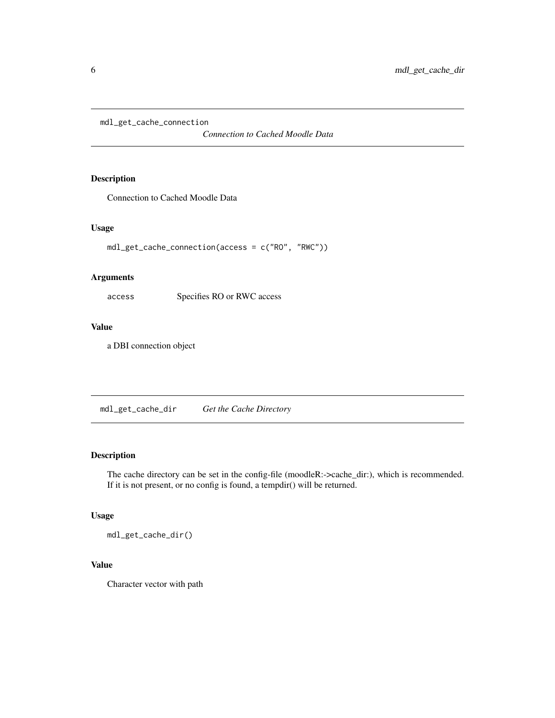<span id="page-5-0"></span>mdl\_get\_cache\_connection

*Connection to Cached Moodle Data*

# Description

Connection to Cached Moodle Data

#### Usage

```
mdl_get_cache_connection(access = c("RO", "RWC"))
```
#### Arguments

access Specifies RO or RWC access

# Value

a DBI connection object

mdl\_get\_cache\_dir *Get the Cache Directory*

#### Description

The cache directory can be set in the config-file (moodleR:->cache\_dir:), which is recommended. If it is not present, or no config is found, a tempdir() will be returned.

#### Usage

mdl\_get\_cache\_dir()

# Value

Character vector with path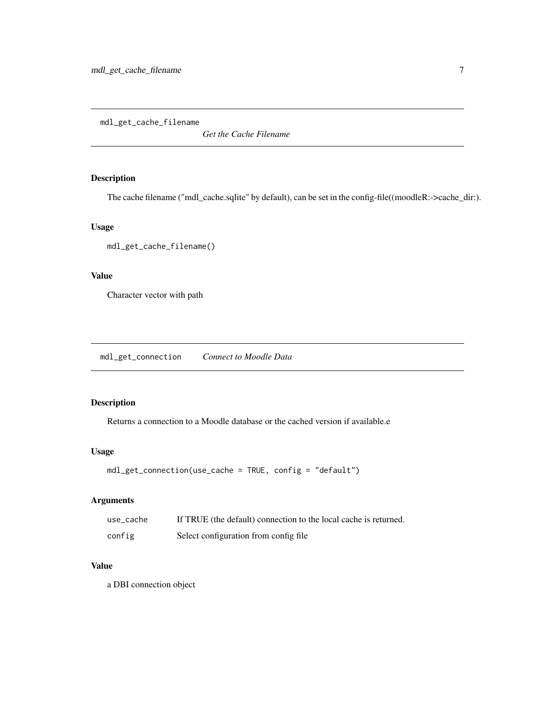<span id="page-6-0"></span>mdl\_get\_cache\_filename

*Get the Cache Filename*

# Description

The cache filename ("mdl\_cache.sqlite" by default), can be set in the config-file((moodleR:->cache\_dir:).

#### Usage

```
mdl_get_cache_filename()
```
# Value

Character vector with path

mdl\_get\_connection *Connect to Moodle Data*

# Description

Returns a connection to a Moodle database or the cached version if available.e

#### Usage

```
mdl_get_connection(use_cache = TRUE, config = "default")
```
# Arguments

| use_cache | If TRUE (the default) connection to the local cache is returned. |
|-----------|------------------------------------------------------------------|
| config    | Select configuration from config file.                           |

# Value

a DBI connection object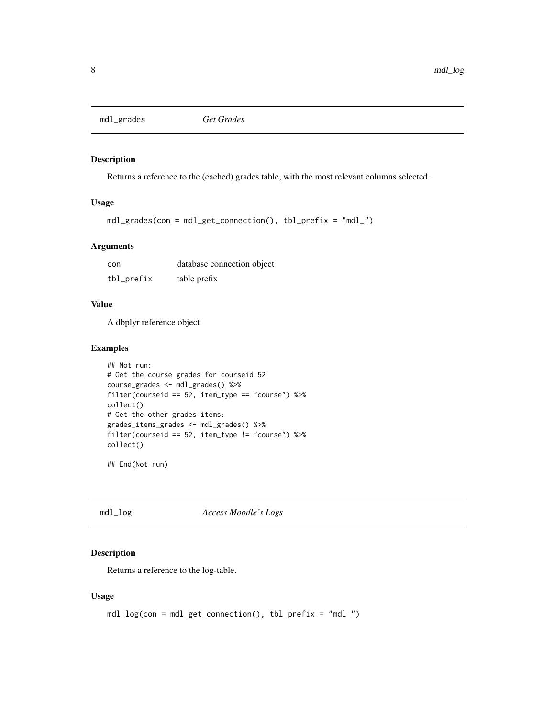<span id="page-7-0"></span>mdl\_grades *Get Grades*

# Description

Returns a reference to the (cached) grades table, with the most relevant columns selected.

#### Usage

```
mdl_grades(con = mdl_get_connection(), tbl_prefix = "mdl_")
```
#### Arguments

| con        | database connection object |
|------------|----------------------------|
| tbl_prefix | table prefix               |

# Value

A dbplyr reference object

#### Examples

```
## Not run:
# Get the course grades for courseid 52
course_grades <- mdl_grades() %>%
filter(courseid == 52, item_type == "course") %>%
collect()
# Get the other grades items:
grades_items_grades <- mdl_grades() %>%
filter(courseid == 52, item_type != "course") %>%
collect()
```
## End(Not run)

mdl\_log *Access Moodle's Logs*

# Description

Returns a reference to the log-table.

#### Usage

```
mdl_log(con = mdl_get_connection(), tbl_prefix = "mdl_")
```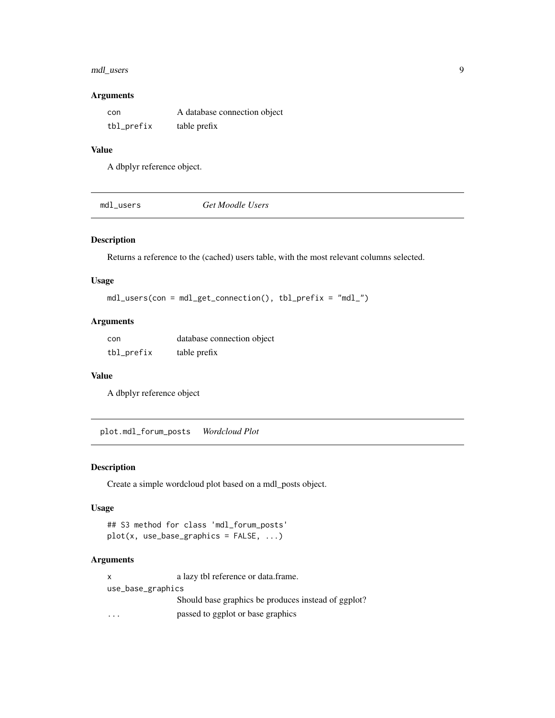# <span id="page-8-0"></span>mdl\_users 9

#### Arguments

| con        | A database connection object |
|------------|------------------------------|
| tbl_prefix | table prefix                 |

# Value

A dbplyr reference object.

mdl\_users *Get Moodle Users*

# Description

Returns a reference to the (cached) users table, with the most relevant columns selected.

# Usage

mdl\_users(con = mdl\_get\_connection(), tbl\_prefix = "mdl\_")

# Arguments

| con        | database connection object |
|------------|----------------------------|
| tbl_prefix | table prefix               |

#### Value

A dbplyr reference object

plot.mdl\_forum\_posts *Wordcloud Plot*

# Description

Create a simple wordcloud plot based on a mdl\_posts object.

#### Usage

```
## S3 method for class 'mdl_forum_posts'
plot(x, use_base_graphics = FALSE, ...)
```
#### Arguments

| x                 | a lazy tbl reference or data.frame.                 |
|-------------------|-----------------------------------------------------|
| use_base_graphics |                                                     |
|                   | Should base graphics be produces instead of ggplot? |
|                   | passed to ggplot or base graphics                   |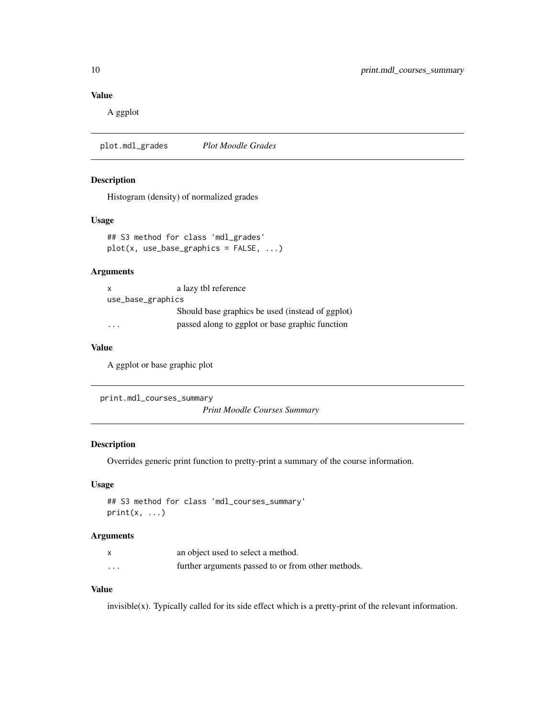# Value

A ggplot

plot.mdl\_grades *Plot Moodle Grades*

# Description

Histogram (density) of normalized grades

# Usage

```
## S3 method for class 'mdl_grades'
plot(x, use_base_graphics = FALSE, ...)
```
#### Arguments

| $\mathsf{X}$      | a lazy tbl reference                             |
|-------------------|--------------------------------------------------|
| use_base_graphics |                                                  |
|                   | Should base graphics be used (instead of ggplot) |
| .                 | passed along to ggplot or base graphic function  |

# Value

A ggplot or base graphic plot

```
print.mdl_courses_summary
```
*Print Moodle Courses Summary*

# Description

Overrides generic print function to pretty-print a summary of the course information.

# Usage

```
## S3 method for class 'mdl_courses_summary'
print(x, \ldots)
```
#### Arguments

|                      | an object used to select a method.                 |
|----------------------|----------------------------------------------------|
| $\ddot{\phantom{0}}$ | further arguments passed to or from other methods. |

# Value

invisible(x). Typically called for its side effect which is a pretty-print of the relevant information.

<span id="page-9-0"></span>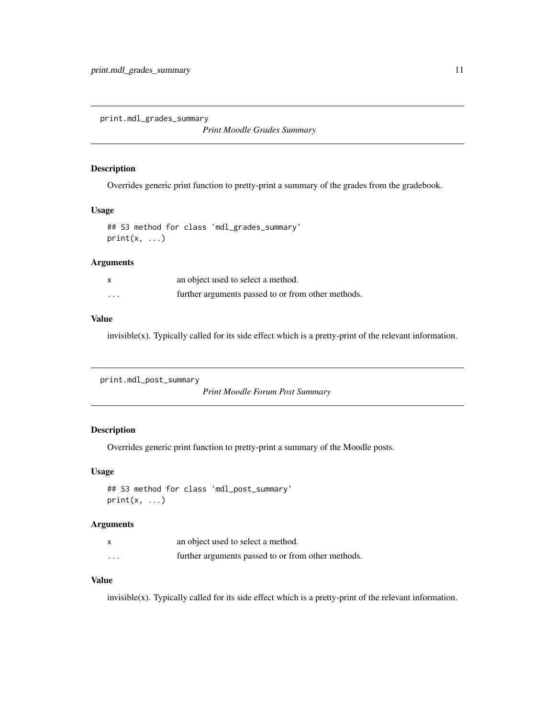<span id="page-10-0"></span>print.mdl\_grades\_summary

*Print Moodle Grades Summary*

#### Description

Overrides generic print function to pretty-print a summary of the grades from the gradebook.

#### Usage

```
## S3 method for class 'mdl_grades_summary'
print(x, \ldots)
```
# Arguments

|          | an object used to select a method.                 |
|----------|----------------------------------------------------|
| $\cdots$ | further arguments passed to or from other methods. |

#### Value

invisible(x). Typically called for its side effect which is a pretty-print of the relevant information.

```
print.mdl_post_summary
```
*Print Moodle Forum Post Summary*

# Description

Overrides generic print function to pretty-print a summary of the Moodle posts.

#### Usage

```
## S3 method for class 'mdl_post_summary'
print(x, \ldots)
```
# Arguments

|          | an object used to select a method.                 |
|----------|----------------------------------------------------|
| $\cdots$ | further arguments passed to or from other methods. |

# Value

invisible(x). Typically called for its side effect which is a pretty-print of the relevant information.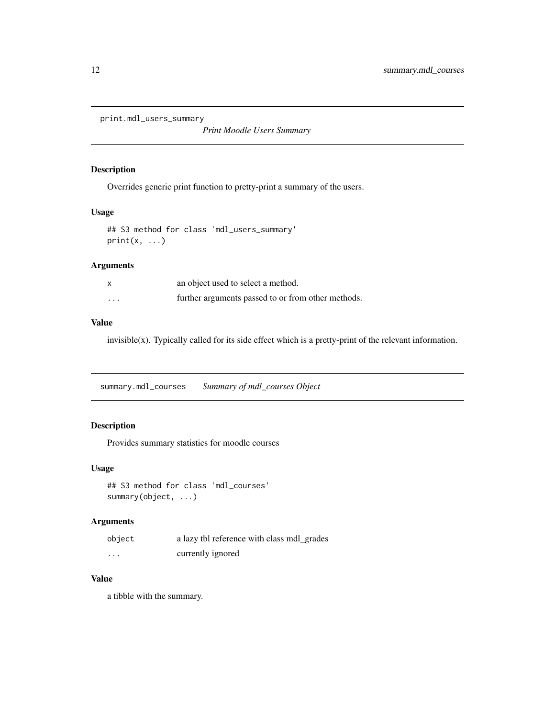```
print.mdl_users_summary
```
*Print Moodle Users Summary*

#### Description

Overrides generic print function to pretty-print a summary of the users.

#### Usage

```
## S3 method for class 'mdl_users_summary'
print(x, \ldots)
```
# Arguments

|                      | an object used to select a method.                 |
|----------------------|----------------------------------------------------|
| $\ddot{\phantom{0}}$ | further arguments passed to or from other methods. |

#### Value

invisible(x). Typically called for its side effect which is a pretty-print of the relevant information.

summary.mdl\_courses *Summary of mdl\_courses Object*

# Description

Provides summary statistics for moodle courses

# Usage

```
## S3 method for class 'mdl_courses'
summary(object, ...)
```
# Arguments

| object   | a lazy tbl reference with class mdl_grades |
|----------|--------------------------------------------|
| $\cdots$ | currently ignored                          |

# Value

a tibble with the summary.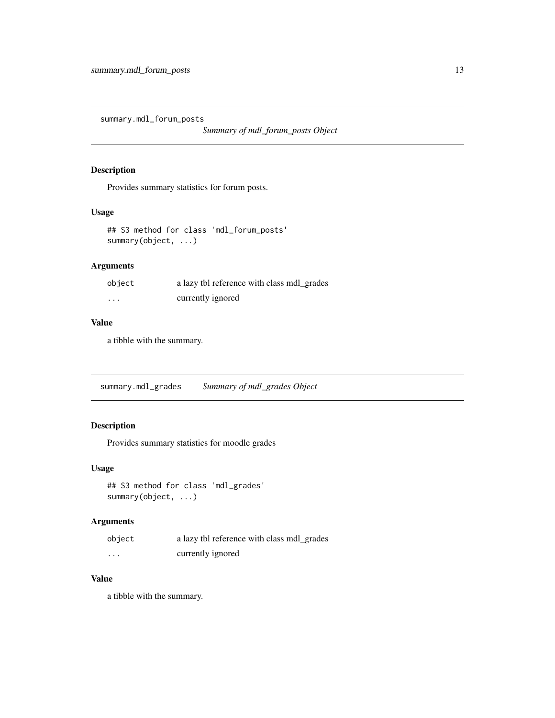<span id="page-12-0"></span>summary.mdl\_forum\_posts

*Summary of mdl\_forum\_posts Object*

#### Description

Provides summary statistics for forum posts.

#### Usage

```
## S3 method for class 'mdl_forum_posts'
summary(object, ...)
```
# Arguments

| object   | a lazy tbl reference with class mdl_grades |
|----------|--------------------------------------------|
| $\cdots$ | currently ignored                          |

#### Value

a tibble with the summary.

summary.mdl\_grades *Summary of mdl\_grades Object*

# Description

Provides summary statistics for moodle grades

#### Usage

```
## S3 method for class 'mdl_grades'
summary(object, ...)
```
#### Arguments

| object   | a lazy tbl reference with class mdl_grades |
|----------|--------------------------------------------|
| $\cdots$ | currently ignored                          |

# Value

a tibble with the summary.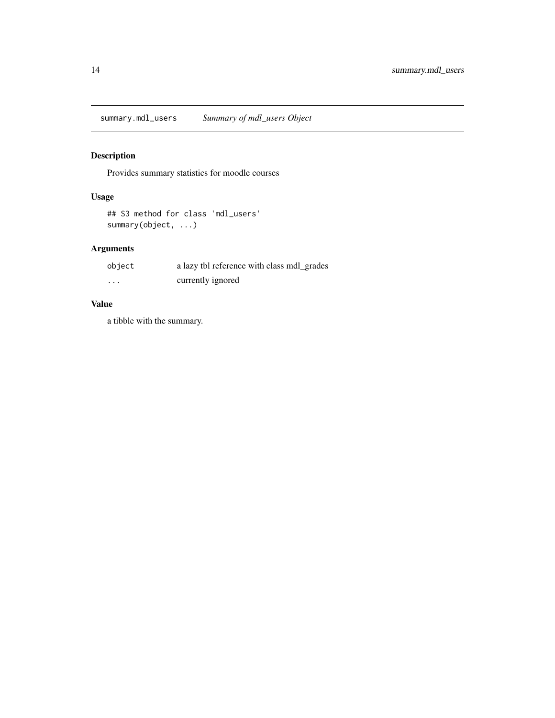# <span id="page-13-0"></span>Description

Provides summary statistics for moodle courses

# Usage

```
## S3 method for class 'mdl_users'
summary(object, ...)
```
# Arguments

| object   | a lazy tbl reference with class mdl_grades |
|----------|--------------------------------------------|
| $\cdots$ | currently ignored                          |

# Value

a tibble with the summary.